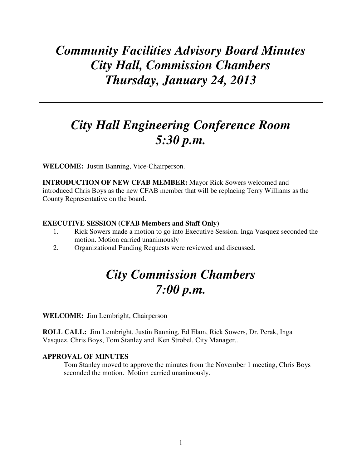# *Community Facilities Advisory Board Minutes City Hall, Commission Chambers Thursday, January 24, 2013*

## *City Hall Engineering Conference Room 5:30 p.m.*

**WELCOME:** Justin Banning, Vice-Chairperson.

**INTRODUCTION OF NEW CFAB MEMBER:** Mayor Rick Sowers welcomed and introduced Chris Boys as the new CFAB member that will be replacing Terry Williams as the County Representative on the board.

#### **EXECUTIVE SESSION (CFAB Members and Staff Only)**

- 1. Rick Sowers made a motion to go into Executive Session. Inga Vasquez seconded the motion. Motion carried unanimously
- 2. Organizational Funding Requests were reviewed and discussed.

## *City Commission Chambers 7:00 p.m.*

**WELCOME:** Jim Lembright, Chairperson

**ROLL CALL:** Jim Lembright, Justin Banning, Ed Elam, Rick Sowers, Dr. Perak, Inga Vasquez, Chris Boys, Tom Stanley and Ken Strobel, City Manager..

#### **APPROVAL OF MINUTES**

Tom Stanley moved to approve the minutes from the November 1 meeting, Chris Boys seconded the motion. Motion carried unanimously.